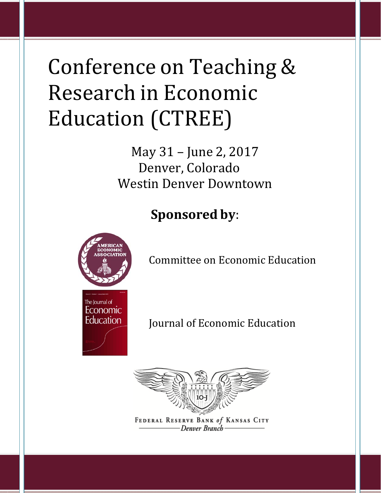# Conference on Teaching & Research in Economic Education (CTREE)

May 31 – June 2, 2017 Denver, Colorado Westin Denver Downtown

**Sponsored by**:



Committee on Economic Education



Journal of Economic Education



FEDERAL RESERVE BANK of KANSAS CITY -Denver Branch-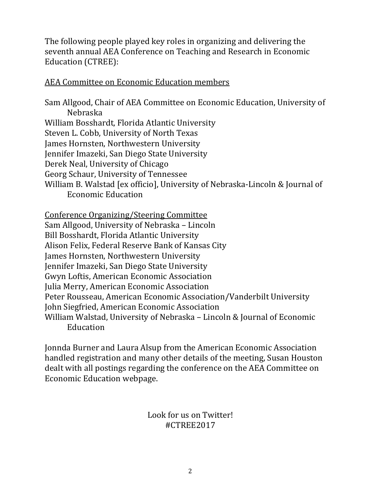The following people played key roles in organizing and delivering the seventh annual AEA Conference on Teaching and Research in Economic Education (CTREE):

#### AEA Committee on Economic Education members

Sam Allgood, Chair of AEA Committee on Economic Education, University of Nebraska William Bosshardt, Florida Atlantic University Steven L. Cobb, University of North Texas James Hornsten, Northwestern University Jennifer Imazeki, San Diego State University Derek Neal, University of Chicago Georg Schaur, University of Tennessee William B. Walstad [ex officio], University of Nebraska-Lincoln & Journal of Economic Education

Conference Organizing/Steering Committee

Sam Allgood, University of Nebraska – Lincoln

Bill Bosshardt, Florida Atlantic University Alison Felix, Federal Reserve Bank of Kansas City

James Hornsten, Northwestern University

Jennifer Imazeki, San Diego State University

Gwyn Loftis, American Economic Association

Julia Merry, American Economic Association

Peter Rousseau, American Economic Association/Vanderbilt University

John Siegfried, American Economic Association

William Walstad, University of Nebraska – Lincoln & Journal of Economic Education

Jonnda Burner and Laura Alsup from the American Economic Association handled registration and many other details of the meeting, Susan Houston dealt with all postings regarding the conference on the AEA Committee on Economic Education webpage.

### Look for us on Twitter! #CTREE2017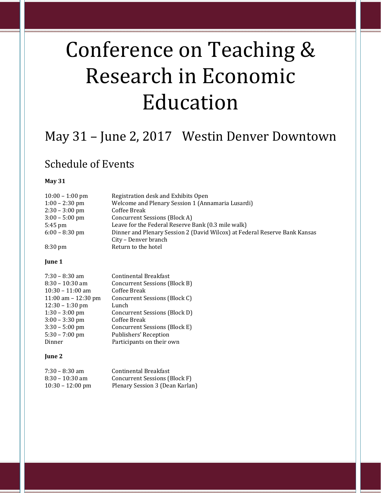# Conference on Teaching & Research in Economic Education

## May 31 – June 2, 2017 Westin Denver Downtown

### Schedule of Events

#### **May 31**

| $10:00 - 1:00$ pm | Registration desk and Exhibits Open                                        |
|-------------------|----------------------------------------------------------------------------|
| $1:00 - 2:30$ pm  | Welcome and Plenary Session 1 (Annamaria Lusardi)                          |
| $2:30 - 3:00$ pm  | Coffee Break                                                               |
| $3:00 - 5:00$ pm  | Concurrent Sessions (Block A)                                              |
| $5:45$ pm         | Leave for the Federal Reserve Bank (0.3 mile walk)                         |
| $6:00 - 8:30$ pm  | Dinner and Plenary Session 2 (David Wilcox) at Federal Reserve Bank Kansas |
|                   | City - Denver branch                                                       |
| $8:30 \text{ pm}$ | Return to the hotel                                                        |

#### **June 1**

| $7:30 - 8:30$ am      | <b>Continental Breakfast</b>  |
|-----------------------|-------------------------------|
|                       |                               |
| $8:30 - 10:30$ am     | Concurrent Sessions (Block B) |
| $10:30 - 11:00$ am    | Coffee Break                  |
| 11:00 am $- 12:30$ pm | Concurrent Sessions (Block C) |
| $12:30 - 1:30$ pm     | Lunch                         |
| $1:30 - 3:00$ pm      | Concurrent Sessions (Block D) |
| $3:00 - 3:30$ pm      | Coffee Break                  |
| $3:30 - 5:00$ pm      | Concurrent Sessions (Block E) |
| $5:30 - 7:00$ pm      | Publishers' Reception         |
| Dinner                | Participants on their own     |

#### **June 2**

| $7:30 - 8:30$ am           | Continental Breakfast           |
|----------------------------|---------------------------------|
| $8:30 - 10:30$ am          | Concurrent Sessions (Block F)   |
| $10:30 - 12:00 \text{ pm}$ | Plenary Session 3 (Dean Karlan) |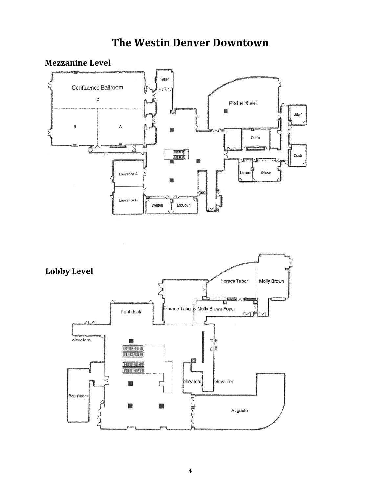### **The Westin Denver Downtown**

#### **Mezzanine Level**



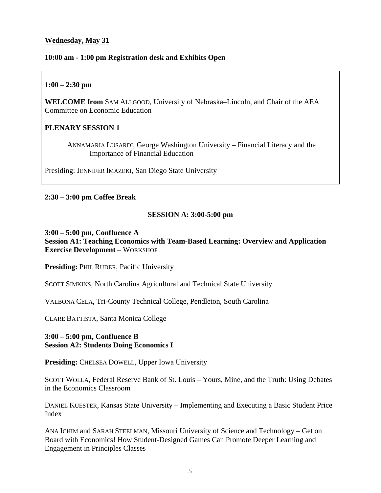#### **Wednesday, May 31**

#### **10:00 am - 1:00 pm Registration desk and Exhibits Open**

#### **1:00 – 2:30 pm**

**WELCOME from** SAM ALLGOOD, University of Nebraska–Lincoln, and Chair of the AEA Committee on Economic Education

#### **PLENARY SESSION 1**

 ANNAMARIA LUSARDI, George Washington University – Financial Literacy and the Importance of Financial Education

Presiding: JENNIFER IMAZEKI, San Diego State University

#### **2:30 – 3:00 pm Coffee Break**

#### **SESSION A: 3:00-5:00 pm**

**3:00 – 5:00 pm, Confluence A Session A1: Teaching Economics with Team-Based Learning: Overview and Application Exercise Development** – WORKSHOP

**Presiding:** PHIL RUDER, Pacific University

SCOTT SIMKINS, North Carolina Agricultural and Technical State University

VALBONA CELA, Tri-County Technical College, Pendleton, South Carolina

CLARE BATTISTA, Santa Monica College

#### **3:00 – 5:00 pm, Confluence B Session A2: Students Doing Economics I**

Presiding: CHELSEA DOWELL, Upper Iowa University

SCOTT WOLLA, Federal Reserve Bank of St. Louis – Yours, Mine, and the Truth: Using Debates in the Economics Classroom

DANIEL KUESTER, Kansas State University – Implementing and Executing a Basic Student Price Index

ANA ICHIM and SARAH STEELMAN, Missouri University of Science and Technology – Get on Board with Economics! How Student-Designed Games Can Promote Deeper Learning and Engagement in Principles Classes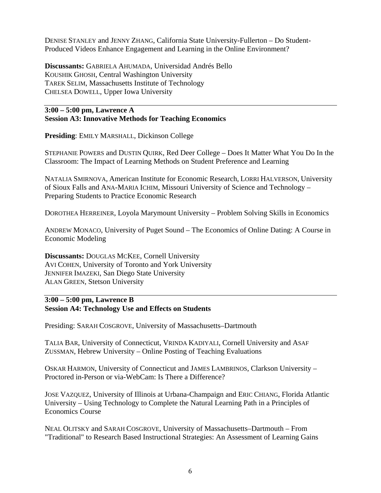DENISE STANLEY and JENNY ZHANG, California State University-Fullerton – Do Student-Produced Videos Enhance Engagement and Learning in the Online Environment?

**Discussants:** GABRIELA AHUMADA, Universidad Andrés Bello KOUSHIK GHOSH, Central Washington University TAREK SELIM, Massachusetts Institute of Technology CHELSEA DOWELL, Upper Iowa University

#### **3:00 – 5:00 pm, Lawrence A Session A3: Innovative Methods for Teaching Economics**

**Presiding**: EMILY MARSHALL, Dickinson College

STEPHANIE POWERS and DUSTIN QUIRK, Red Deer College – Does It Matter What You Do In the Classroom: The Impact of Learning Methods on Student Preference and Learning

NATALIA SMIRNOVA, American Institute for Economic Research, LORRI HALVERSON, University of Sioux Falls and ANA-MARIA ICHIM, Missouri University of Science and Technology – Preparing Students to Practice Economic Research

DOROTHEA HERREINER, Loyola Marymount University – Problem Solving Skills in Economics

ANDREW MONACO, University of Puget Sound – The Economics of Online Dating: A Course in Economic Modeling

**Discussants:** DOUGLAS MCKEE, Cornell University AVI COHEN, University of Toronto and York University JENNIFER IMAZEKI, San Diego State University ALAN GREEN, Stetson University

#### **3:00 – 5:00 pm, Lawrence B Session A4: Technology Use and Effects on Students**

Presiding: SARAH COSGROVE, University of Massachusetts–Dartmouth

TALIA BAR, University of Connecticut, VRINDA KADIYALI, Cornell University and ASAF ZUSSMAN, Hebrew University – Online Posting of Teaching Evaluations

OSKAR HARMON, University of Connecticut and JAMES LAMBRINOS, Clarkson University – Proctored in-Person or via-WebCam: Is There a Difference?

JOSE VAZQUEZ, University of Illinois at Urbana-Champaign and ERIC CHIANG, Florida Atlantic University – Using Technology to Complete the Natural Learning Path in a Principles of Economics Course

NEAL OLITSKY and SARAH COSGROVE, University of Massachusetts–Dartmouth – From "Traditional" to Research Based Instructional Strategies: An Assessment of Learning Gains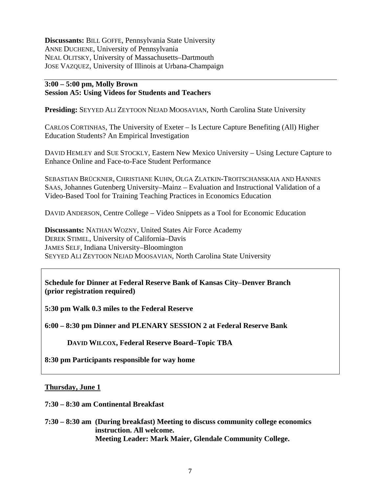**Discussants:** BILL GOFFE, Pennsylvania State University ANNE DUCHENE, University of Pennsylvania NEAL OLITSKY, University of Massachusetts–Dartmouth JOSE VAZQUEZ, University of Illinois at Urbana-Champaign

#### **3:00 – 5:00 pm, Molly Brown Session A5: Using Videos for Students and Teachers**

**Presiding:** SEYYED ALI ZEYTOON NEJAD MOOSAVIAN, North Carolina State University

CARLOS CORTINHAS, The University of Exeter – Is Lecture Capture Benefiting (All) Higher Education Students? An Empirical Investigation

DAVID HEMLEY and SUE STOCKLY, Eastern New Mexico University – Using Lecture Capture to Enhance Online and Face-to-Face Student Performance

SEBASTIAN BRÜCKNER, CHRISTIANE KUHN, OLGA ZLATKIN-TROITSCHANSKAIA AND HANNES SAAS, Johannes Gutenberg University–Mainz – Evaluation and Instructional Validation of a Video-Based Tool for Training Teaching Practices in Economics Education

DAVID ANDERSON, Centre College – Video Snippets as a Tool for Economic Education

**Discussants:** NATHAN WOZNY, United States Air Force Academy DEREK STIMEL, University of California–Davis JAMES SELF, Indiana University–Bloomington SEYYED ALI ZEYTOON NEJAD MOOSAVIAN, North Carolina State University

**Schedule for Dinner at Federal Reserve Bank of Kansas City**–**Denver Branch (prior registration required)** 

**5:30 pm Walk 0.3 miles to the Federal Reserve** 

**6:00 – 8:30 pm Dinner and PLENARY SESSION 2 at Federal Reserve Bank** 

**DAVID WILCOX, Federal Reserve Board–Topic TBA** 

**8:30 pm Participants responsible for way home** 

#### **Thursday, June 1**

**7:30 – 8:30 am Continental Breakfast** 

**7:30 – 8:30 am (During breakfast) Meeting to discuss community college economics instruction. All welcome. Meeting Leader: Mark Maier, Glendale Community College.**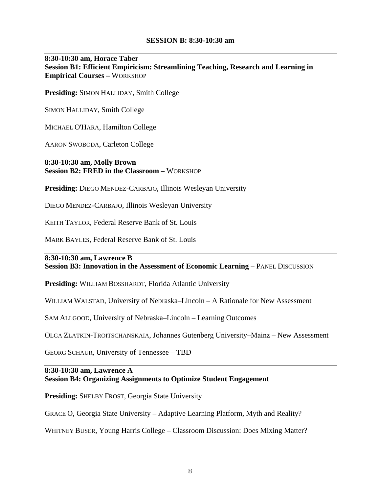#### **SESSION B: 8:30-10:30 am**

#### **8:30-10:30 am, Horace Taber Session B1: Efficient Empiricism: Streamlining Teaching, Research and Learning in Empirical Courses –** WORKSHOP

**Presiding:** SIMON HALLIDAY, Smith College

SIMON HALLIDAY, Smith College

MICHAEL O'HARA, Hamilton College

AARON SWOBODA, Carleton College

**8:30-10:30 am, Molly Brown Session B2: FRED in the Classroom –** WORKSHOP

**Presiding:** DIEGO MENDEZ-CARBAJO, Illinois Wesleyan University

DIEGO MENDEZ-CARBAJO, Illinois Wesleyan University

KEITH TAYLOR, Federal Reserve Bank of St. Louis

MARK BAYLES, Federal Reserve Bank of St. Louis

**8:30-10:30 am, Lawrence B Session B3: Innovation in the Assessment of Economic Learning – PANEL DISCUSSION** 

**Presiding:** WILLIAM BOSSHARDT, Florida Atlantic University

WILLIAM WALSTAD, University of Nebraska–Lincoln – A Rationale for New Assessment

SAM ALLGOOD, University of Nebraska–Lincoln – Learning Outcomes

OLGA ZLATKIN-TROITSCHANSKAIA, Johannes Gutenberg University–Mainz – New Assessment

GEORG SCHAUR, University of Tennessee – TBD

#### **8:30-10:30 am, Lawrence A Session B4: Organizing Assignments to Optimize Student Engagement**

**Presiding:** SHELBY FROST, Georgia State University

GRACE O, Georgia State University – Adaptive Learning Platform, Myth and Reality?

WHITNEY BUSER, Young Harris College – Classroom Discussion: Does Mixing Matter?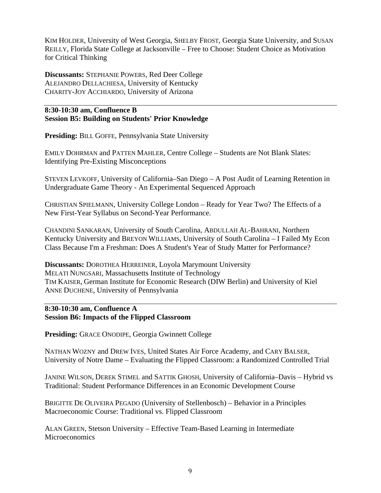KIM HOLDER, University of West Georgia, SHELBY FROST, Georgia State University, and SUSAN REILLY, Florida State College at Jacksonville – Free to Choose: Student Choice as Motivation for Critical Thinking

**Discussants:** STEPHANIE POWERS, Red Deer College ALEJANDRO DELLACHIESA, University of Kentucky CHARITY-JOY ACCHIARDO, University of Arizona

#### **8:30-10:30 am, Confluence B Session B5: Building on Students' Prior Knowledge**

**Presiding:** BILL GOFFE, Pennsylvania State University

EMILY DOHRMAN and PATTEN MAHLER, Centre College – Students are Not Blank Slates: Identifying Pre-Existing Misconceptions

STEVEN LEVKOFF, University of California–San Diego – A Post Audit of Learning Retention in Undergraduate Game Theory - An Experimental Sequenced Approach

CHRISTIAN SPIELMANN, University College London – Ready for Year Two? The Effects of a New First-Year Syllabus on Second-Year Performance.

CHANDINI SANKARAN, University of South Carolina, ABDULLAH AL-BAHRANI, Northern Kentucky University and BREYON WILLIAMS, University of South Carolina – I Failed My Econ Class Because I'm a Freshman: Does A Student's Year of Study Matter for Performance?

**Discussants:** DOROTHEA HERREINER, Loyola Marymount University MELATI NUNGSARI, Massachusetts Institute of Technology TIM KAISER, German Institute for Economic Research (DIW Berlin) and University of Kiel ANNE DUCHENE, University of Pennsylvania

**8:30-10:30 am, Confluence A Session B6: Impacts of the Flipped Classroom** 

**Presiding:** GRACE ONODIPE, Georgia Gwinnett College

NATHAN WOZNY and DREW IVES, United States Air Force Academy, and CARY BALSER, University of Notre Dame – Evaluating the Flipped Classroom: a Randomized Controlled Trial

JANINE WILSON, DEREK STIMEL and SATTIK GHOSH, University of California–Davis – Hybrid vs Traditional: Student Performance Differences in an Economic Development Course

BRIGITTE DE OLIVEIRA PEGADO (University of Stellenbosch) – Behavior in a Principles Macroeconomic Course: Traditional vs. Flipped Classroom

ALAN GREEN, Stetson University – Effective Team-Based Learning in Intermediate Microeconomics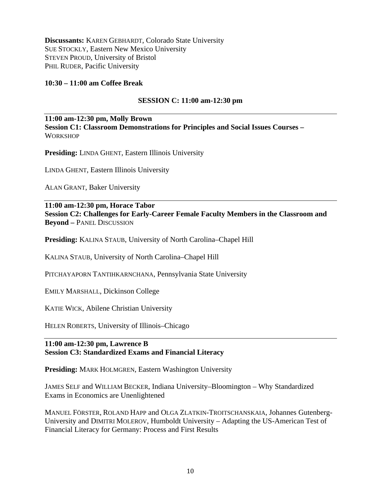**Discussants:** KAREN GEBHARDT, Colorado State University SUE STOCKLY, Eastern New Mexico University STEVEN PROUD, University of Bristol PHIL RUDER, Pacific University

#### **10:30 – 11:00 am Coffee Break**

#### **SESSION C: 11:00 am-12:30 pm**

**11:00 am-12:30 pm, Molly Brown Session C1: Classroom Demonstrations for Principles and Social Issues Courses – WORKSHOP** 

**Presiding:** LINDA GHENT, Eastern Illinois University

LINDA GHENT, Eastern Illinois University

ALAN GRANT, Baker University

**11:00 am-12:30 pm, Horace Tabor Session C2: Challenges for Early-Career Female Faculty Members in the Classroom and Beyond –** PANEL DISCUSSION

**Presiding:** KALINA STAUB, University of North Carolina–Chapel Hill

KALINA STAUB, University of North Carolina–Chapel Hill

PITCHAYAPORN TANTIHKARNCHANA, Pennsylvania State University

EMILY MARSHALL, Dickinson College

KATIE WICK, Abilene Christian University

HELEN ROBERTS, University of Illinois–Chicago

#### **11:00 am-12:30 pm, Lawrence B Session C3: Standardized Exams and Financial Literacy**

**Presiding:** MARK HOLMGREN, Eastern Washington University

JAMES SELF and WILLIAM BECKER, Indiana University–Bloomington – Why Standardized Exams in Economics are Unenlightened

MANUEL FÖRSTER, ROLAND HAPP and OLGA ZLATKIN-TROITSCHANSKAIA, Johannes Gutenberg-University and DIMITRI MOLEROV, Humboldt University – Adapting the US-American Test of Financial Literacy for Germany: Process and First Results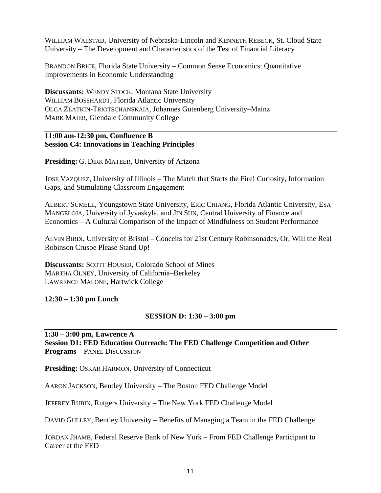WILLIAM WALSTAD, University of Nebraska-Lincoln and KENNETH REBECK, St. Cloud State University – The Development and Characteristics of the Test of Financial Literacy

BRANDON BRICE, Florida State University – Common Sense Economics: Quantitative Improvements in Economic Understanding

**Discussants:** WENDY STOCK, Montana State University WILLIAM BOSSHARDT, Florida Atlantic University OLGA ZLATKIN-TRIOTSCHANSKAIA, Johannes Gutenberg University–Mainz MARK MAIER, Glendale Community College

#### **11:00 am-12:30 pm, Confluence B Session C4: Innovations in Teaching Principles**

**Presiding:** G. DIRK MATEER, University of Arizona

JOSE VAZQUEZ, University of Illinois – The Match that Starts the Fire! Curiosity, Information Gaps, and Stimulating Classroom Engagement

ALBERT SUMELL, Youngstown State University, ERIC CHIANG, Florida Atlantic University, ESA MANGELOJA, University of Jyvaskyla, and JIN SUN, Central University of Finance and Economics – A Cultural Comparison of the Impact of Mindfulness on Student Performance

ALVIN BIRDI, University of Bristol – Conceits for 21st Century Robinsonades, Or, Will the Real Robinson Crusoe Please Stand Up!

**Discussants: SCOTT HOUSER, Colorado School of Mines** MARTHA OLNEY, University of California–Berkeley LAWRENCE MALONE, Hartwick College

#### **12:30 – 1:30 pm Lunch**

#### **SESSION D: 1:30 – 3:00 pm**

#### **1:30 – 3:00 pm, Lawrence A Session D1: FED Education Outreach: The FED Challenge Competition and Other Programs** – PANEL DISCUSSION

**Presiding:** OSKAR HARMON, University of Connecticut

AARON JACKSON, Bentley University – The Boston FED Challenge Model

JEFFREY RUBIN, Rutgers University – The New York FED Challenge Model

DAVID GULLEY, Bentley University – Benefits of Managing a Team in the FED Challenge

JORDAN JHAMB, Federal Reserve Bank of New York – From FED Challenge Participant to Career at the FED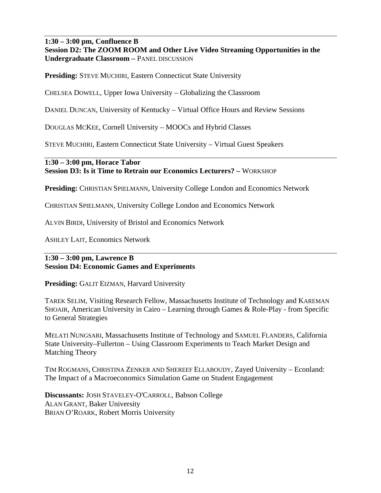**1:30 – 3:00 pm, Confluence B Session D2: The ZOOM ROOM and Other Live Video Streaming Opportunities in the Undergraduate Classroom –** PANEL DISCUSSION

**Presiding:** STEVE MUCHIRI, Eastern Connecticut State University

CHELSEA DOWELL, Upper Iowa University – Globalizing the Classroom

DANIEL DUNCAN, University of Kentucky – Virtual Office Hours and Review Sessions

DOUGLAS MCKEE, Cornell University – MOOCs and Hybrid Classes

STEVE MUCHIRI, Eastern Connecticut State University – Virtual Guest Speakers

**1:30 – 3:00 pm, Horace Tabor Session D3: Is it Time to Retrain our Economics Lecturers? –** WORKSHOP

**Presiding:** CHRISTIAN SPIELMANN, University College London and Economics Network

CHRISTIAN SPIELMANN, University College London and Economics Network

ALVIN BIRDI, University of Bristol and Economics Network

ASHLEY LAIT, Economics Network

#### **1:30 – 3:00 pm, Lawrence B Session D4: Economic Games and Experiments**

**Presiding:** GALIT EIZMAN, Harvard University

TAREK SELIM, Visiting Research Fellow, Massachusetts Institute of Technology and KAREMAN SHOAIR, American University in Cairo – Learning through Games & Role-Play - from Specific to General Strategies

MELATI NUNGSARI, Massachusetts Institute of Technology and SAMUEL FLANDERS, California State University–Fullerton – Using Classroom Experiments to Teach Market Design and Matching Theory

TIM ROGMANS, CHRISTINA ZENKER AND SHEREEF ELLABOUDY, Zayed University – Econland: The Impact of a Macroeconomics Simulation Game on Student Engagement

**Discussants:** JOSH STAVELEY-O'CARROLL, Babson College ALAN GRANT, Baker University BRIAN O'ROARK, Robert Morris University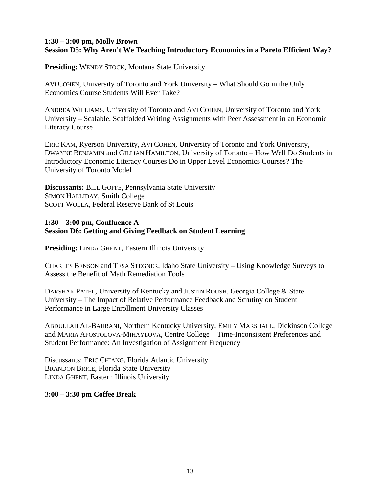#### **1:30 – 3:00 pm, Molly Brown Session D5: Why Aren't We Teaching Introductory Economics in a Pareto Efficient Way?**

**Presiding:** WENDY STOCK, Montana State University

AVI COHEN, University of Toronto and York University – What Should Go in the Only Economics Course Students Will Ever Take?

ANDREA WILLIAMS, University of Toronto and AVI COHEN, University of Toronto and York University – Scalable, Scaffolded Writing Assignments with Peer Assessment in an Economic Literacy Course

ERIC KAM, Ryerson University, AVI COHEN, University of Toronto and York University, DWAYNE BENJAMIN and GILLIAN HAMILTON, University of Toronto – How Well Do Students in Introductory Economic Literacy Courses Do in Upper Level Economics Courses? The University of Toronto Model

**Discussants:** BILL GOFFE, Pennsylvania State University SIMON HALLIDAY, Smith College SCOTT WOLLA, Federal Reserve Bank of St Louis

#### **1:30 – 3:00 pm, Confluence A Session D6: Getting and Giving Feedback on Student Learning**

**Presiding:** LINDA GHENT, Eastern Illinois University

CHARLES BENSON and TESA STEGNER, Idaho State University – Using Knowledge Surveys to Assess the Benefit of Math Remediation Tools

DARSHAK PATEL, University of Kentucky and JUSTIN ROUSH, Georgia College & State University – The Impact of Relative Performance Feedback and Scrutiny on Student Performance in Large Enrollment University Classes

ABDULLAH AL-BAHRANI, Northern Kentucky University, EMILY MARSHALL, Dickinson College and MARIA APOSTOLOVA-MIHAYLOVA, Centre College – Time-Inconsistent Preferences and Student Performance: An Investigation of Assignment Frequency

Discussants: ERIC CHIANG, Florida Atlantic University BRANDON BRICE, Florida State University LINDA GHENT, Eastern Illinois University

3**:00 – 3:30 pm Coffee Break**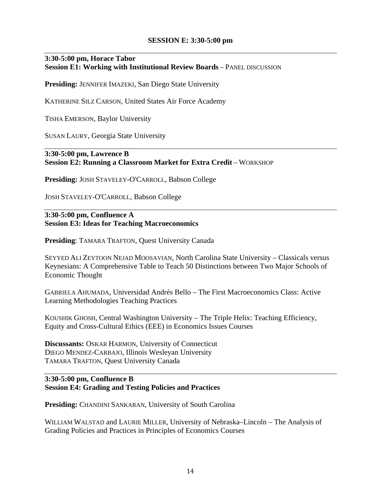#### **SESSION E: 3:30-5:00 pm**

#### **3:30-5:00 pm, Horace Tabor Session E1: Working with Institutional Review Boards** – PANEL DISCUSSION

**Presiding:** JENNIFER IMAZEKI, San Diego State University

KATHERINE SILZ CARSON, United States Air Force Academy

TISHA EMERSON, Baylor University

SUSAN LAURY, Georgia State University

#### **3:30-5:00 pm, Lawrence B Session E2: Running a Classroom Market for Extra Credit** – WORKSHOP

**Presiding:** JOSH STAVELEY-O'CARROLL, Babson College

JOSH STAVELEY-O'CARROLL, Babson College

**3:30-5:00 pm, Confluence A Session E3: Ideas for Teaching Macroeconomics** 

**Presiding**: TAMARA TRAFTON, Quest University Canada

SEYYED ALI ZEYTOON NEJAD MOOSAVIAN, North Carolina State University – Classicals versus Keynesians: A Comprehensive Table to Teach 50 Distinctions between Two Major Schools of Economic Thought

GABRIELA AHUMADA, Universidad Andrés Bello – The First Macroeconomics Class: Active Learning Methodologies Teaching Practices

KOUSHIK GHOSH, Central Washington University – The Triple Helix: Teaching Efficiency, Equity and Cross-Cultural Ethics (EEE) in Economics Issues Courses

**Discussants:** OSKAR HARMON, University of Connecticut DIEGO MENDEZ-CARBAJO, Illinois Wesleyan University TAMARA TRAFTON, Quest University Canada

#### **3:30-5:00 pm, Confluence B Session E4: Grading and Testing Policies and Practices**

**Presiding: CHANDINI SANKARAN, University of South Carolina** 

WILLIAM WALSTAD and LAURIE MILLER, University of Nebraska–Lincoln – The Analysis of Grading Policies and Practices in Principles of Economics Courses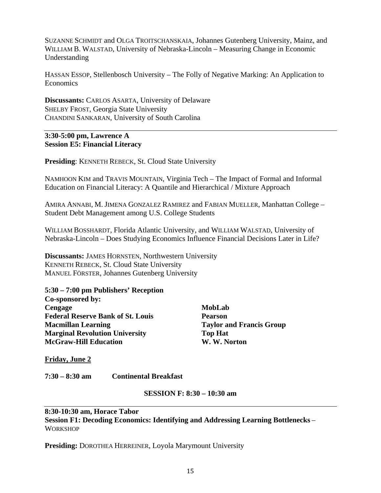SUZANNE SCHMIDT and OLGA TROITSCHANSKAIA, Johannes Gutenberg University, Mainz, and WILLIAM B. WALSTAD, University of Nebraska-Lincoln – Measuring Change in Economic Understanding

HASSAN ESSOP, Stellenbosch University – The Folly of Negative Marking: An Application to Economics

**Discussants:** CARLOS ASARTA, University of Delaware SHELBY FROST, Georgia State University CHANDINI SANKARAN, University of South Carolina

#### **3:30-5:00 pm, Lawrence A Session E5: Financial Literacy**

**Presiding**: KENNETH REBECK, St. Cloud State University

NAMHOON KIM and TRAVIS MOUNTAIN, Virginia Tech – The Impact of Formal and Informal Education on Financial Literacy: A Quantile and Hierarchical / Mixture Approach

AMIRA ANNABI, M. JIMENA GONZALEZ RAMIREZ and FABIAN MUELLER, Manhattan College – Student Debt Management among U.S. College Students

WILLIAM BOSSHARDT, Florida Atlantic University, and WILLIAM WALSTAD, University of Nebraska-Lincoln – Does Studying Economics Influence Financial Decisions Later in Life?

**Discussants:** JAMES HORNSTEN, Northwestern University KENNETH REBECK, St. Cloud State University MANUEL FÖRSTER, Johannes Gutenberg University

**5:30 – 7:00 pm Publishers' Reception Co-sponsored by: Cengage Federal Reserve Bank of St. Louis Macmillan Learning Marginal Revolution University McGraw-Hill Education** 

**MobLab Pearson Taylor and Francis Group Top Hat W. W. Norton** 

**Friday, June 2**

**7:30 – 8:30 am Continental Breakfast** 

#### **SESSION F: 8:30 – 10:30 am**

**8:30-10:30 am, Horace Tabor Session F1: Decoding Economics: Identifying and Addressing Learning Bottlenecks** – **WORKSHOP** 

**Presiding:** DOROTHEA HERREINER, Loyola Marymount University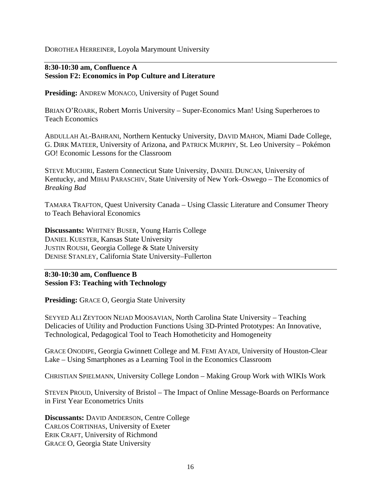DOROTHEA HERREINER, Loyola Marymount University

#### **8:30-10:30 am, Confluence A Session F2: Economics in Pop Culture and Literature**

**Presiding:** ANDREW MONACO, University of Puget Sound

BRIAN O'ROARK, Robert Morris University – Super-Economics Man! Using Superheroes to Teach Economics

ABDULLAH AL-BAHRANI, Northern Kentucky University, DAVID MAHON, Miami Dade College, G. DIRK MATEER, University of Arizona, and PATRICK MURPHY, St. Leo University – Pokémon GO! Economic Lessons for the Classroom

STEVE MUCHIRI, Eastern Connecticut State University, DANIEL DUNCAN, University of Kentucky, and MIHAI PARASCHIV, State University of New York–Oswego – The Economics of *Breaking Bad*

TAMARA TRAFTON, Quest University Canada – Using Classic Literature and Consumer Theory to Teach Behavioral Economics

**Discussants:** WHITNEY BUSER, Young Harris College DANIEL KUESTER, Kansas State University JUSTIN ROUSH, Georgia College & State University DENISE STANLEY, California State University–Fullerton

**8:30-10:30 am, Confluence B Session F3: Teaching with Technology** 

**Presiding:** GRACE O, Georgia State University

SEYYED ALI ZEYTOON NEJAD MOOSAVIAN, North Carolina State University – Teaching Delicacies of Utility and Production Functions Using 3D-Printed Prototypes: An Innovative, Technological, Pedagogical Tool to Teach Homotheticity and Homogeneity

GRACE ONODIPE, Georgia Gwinnett College and M. FEMI AYADI, University of Houston-Clear Lake – Using Smartphones as a Learning Tool in the Economics Classroom

CHRISTIAN SPIELMANN, University College London – Making Group Work with WIKIs Work

STEVEN PROUD, University of Bristol – The Impact of Online Message-Boards on Performance in First Year Econometrics Units

**Discussants:** DAVID ANDERSON, Centre College CARLOS CORTINHAS, University of Exeter ERIK CRAFT, University of Richmond GRACE O, Georgia State University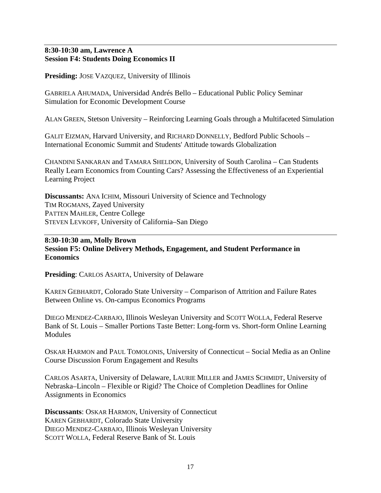#### **8:30-10:30 am, Lawrence A Session F4: Students Doing Economics II**

**Presiding:** JOSE VAZQUEZ, University of Illinois

GABRIELA AHUMADA, Universidad Andrés Bello – Educational Public Policy Seminar Simulation for Economic Development Course

ALAN GREEN, Stetson University – Reinforcing Learning Goals through a Multifaceted Simulation

GALIT EIZMAN, Harvard University, and RICHARD DONNELLY, Bedford Public Schools – International Economic Summit and Students' Attitude towards Globalization

CHANDINI SANKARAN and TAMARA SHELDON, University of South Carolina – Can Students Really Learn Economics from Counting Cars? Assessing the Effectiveness of an Experiential Learning Project

**Discussants:** ANA ICHIM, Missouri University of Science and Technology TIM ROGMANS, Zayed University PATTEN MAHLER, Centre College STEVEN LEVKOFF, University of California–San Diego

#### **8:30-10:30 am, Molly Brown Session F5: Online Delivery Methods, Engagement, and Student Performance in Economics**

**Presiding**: CARLOS ASARTA, University of Delaware

KAREN GEBHARDT, Colorado State University – Comparison of Attrition and Failure Rates Between Online vs. On-campus Economics Programs

DIEGO MENDEZ-CARBAJO, Illinois Wesleyan University and SCOTT WOLLA, Federal Reserve Bank of St. Louis – Smaller Portions Taste Better: Long-form vs. Short-form Online Learning **Modules** 

OSKAR HARMON and PAUL TOMOLONIS, University of Connecticut – Social Media as an Online Course Discussion Forum Engagement and Results

CARLOS ASARTA, University of Delaware, LAURIE MILLER and JAMES SCHMIDT, University of Nebraska–Lincoln – Flexible or Rigid? The Choice of Completion Deadlines for Online Assignments in Economics

**Discussants**: OSKAR HARMON, University of Connecticut KAREN GEBHARDT, Colorado State University DIEGO MENDEZ-CARBAJO, Illinois Wesleyan University SCOTT WOLLA, Federal Reserve Bank of St. Louis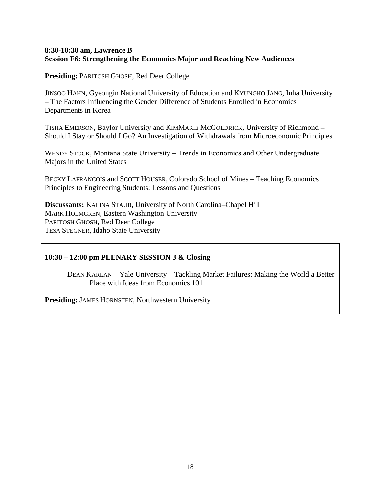#### **8:30-10:30 am, Lawrence B Session F6: Strengthening the Economics Major and Reaching New Audiences**

**Presiding:** PARITOSH GHOSH, Red Deer College

JINSOO HAHN, Gyeongin National University of Education and KYUNGHO JANG, Inha University – The Factors Influencing the Gender Difference of Students Enrolled in Economics Departments in Korea

TISHA EMERSON, Baylor University and KIMMARIE MCGOLDRICK, University of Richmond – Should I Stay or Should I Go? An Investigation of Withdrawals from Microeconomic Principles

WENDY STOCK, Montana State University – Trends in Economics and Other Undergraduate Majors in the United States

BECKY LAFRANCOIS and SCOTT HOUSER, Colorado School of Mines – Teaching Economics Principles to Engineering Students: Lessons and Questions

**Discussants:** KALINA STAUB, University of North Carolina–Chapel Hill MARK HOLMGREN, Eastern Washington University PARITOSH GHOSH, Red Deer College TESA STEGNER, Idaho State University

#### **10:30 – 12:00 pm PLENARY SESSION 3 & Closing**

 DEAN KARLAN – Yale University – Tackling Market Failures: Making the World a Better Place with Ideas from Economics 101

**Presiding:** JAMES HORNSTEN, Northwestern University